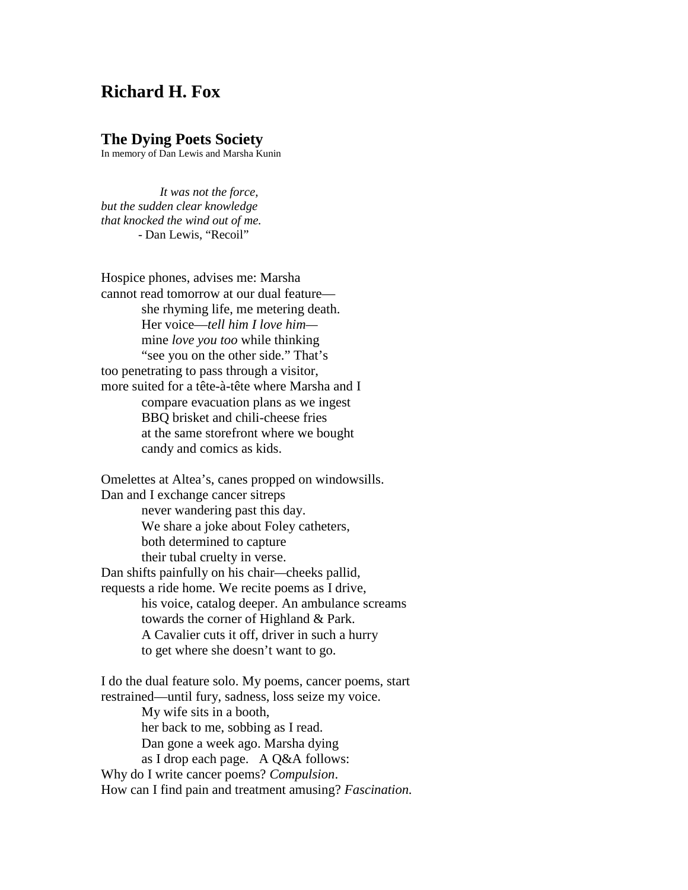## **Richard H. Fox**

## **The Dying Poets Society**

In memory of Dan Lewis and Marsha Kunin

 *It was not the force, but the sudden clear knowledge that knocked the wind out of me.* - Dan Lewis, "Recoil"

Hospice phones, advises me: Marsha cannot read tomorrow at our dual feature she rhyming life, me metering death. Her voice—*tell him I love him* mine *love you too* while thinking "see you on the other side." That's too penetrating to pass through a visitor, more suited for a tête-à-tête where Marsha and I compare evacuation plans as we ingest BBQ brisket and chili-cheese fries at the same storefront where we bought candy and comics as kids.

Omelettes at Altea's, canes propped on windowsills. Dan and I exchange cancer sitreps never wandering past this day. We share a joke about Foley catheters, both determined to capture their tubal cruelty in verse. Dan shifts painfully on his chair*—*cheeks pallid, requests a ride home. We recite poems as I drive, his voice, catalog deeper. An ambulance screams towards the corner of Highland & Park. A Cavalier cuts it off, driver in such a hurry to get where she doesn't want to go.

I do the dual feature solo. My poems, cancer poems, start restrained—until fury, sadness, loss seize my voice. My wife sits in a booth, her back to me, sobbing as I read. Dan gone a week ago. Marsha dying as I drop each page. A Q&A follows: Why do I write cancer poems? *Compulsion*. How can I find pain and treatment amusing? *Fascination.*